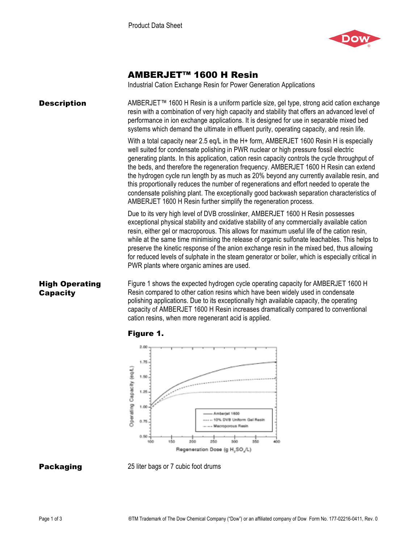

# AMBERJET™ 1600 H Resin

Industrial Cation Exchange Resin for Power Generation Applications

| <b>Description</b>                       | AMBERJET™ 1600 H Resin is a uniform particle size, gel type, strong acid cation exchange<br>resin with a combination of very high capacity and stability that offers an advanced level of<br>performance in ion exchange applications. It is designed for use in separable mixed bed<br>systems which demand the ultimate in effluent purity, operating capacity, and resin life.                                                                                                                                                                                                                                                                                                                                                   |
|------------------------------------------|-------------------------------------------------------------------------------------------------------------------------------------------------------------------------------------------------------------------------------------------------------------------------------------------------------------------------------------------------------------------------------------------------------------------------------------------------------------------------------------------------------------------------------------------------------------------------------------------------------------------------------------------------------------------------------------------------------------------------------------|
|                                          | With a total capacity near 2.5 eq/L in the H+ form, AMBERJET 1600 Resin H is especially<br>well suited for condensate polishing in PWR nuclear or high pressure fossil electric<br>generating plants. In this application, cation resin capacity controls the cycle throughput of<br>the beds, and therefore the regeneration frequency. AMBERJET 1600 H Resin can extend<br>the hydrogen cycle run length by as much as 20% beyond any currently available resin, and<br>this proportionally reduces the number of regenerations and effort needed to operate the<br>condensate polishing plant. The exceptionally good backwash separation characteristics of<br>AMBERJET 1600 H Resin further simplify the regeneration process. |
|                                          | Due to its very high level of DVB crosslinker, AMBERJET 1600 H Resin possesses<br>exceptional physical stability and oxidative stability of any commercially available cation<br>resin, either gel or macroporous. This allows for maximum useful life of the cation resin,<br>while at the same time minimising the release of organic sulfonate leachables. This helps to<br>preserve the kinetic response of the anion exchange resin in the mixed bed, thus allowing<br>for reduced levels of sulphate in the steam generator or boiler, which is especially critical in<br>PWR plants where organic amines are used.                                                                                                           |
| <b>High Operating</b><br><b>Capacity</b> | Figure 1 shows the expected hydrogen cycle operating capacity for AMBERJET 1600 H<br>Resin compared to other cation resins which have been widely used in condensate<br>polishing applications. Due to its exceptionally high available capacity, the operating<br>capacity of AMBERJET 1600 H Resin increases dramatically compared to conventional                                                                                                                                                                                                                                                                                                                                                                                |





cation resins, when more regenerant acid is applied.

**Packaging** 25 liter bags or 7 cubic foot drums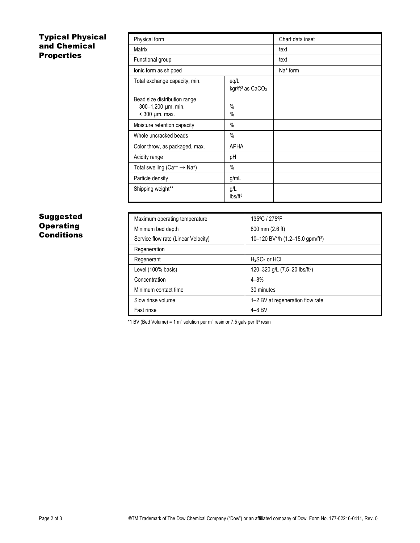## Typical Physical and Chemical Properties

| Physical form                                                               | Chart data inset                       |  |
|-----------------------------------------------------------------------------|----------------------------------------|--|
| Matrix                                                                      | text                                   |  |
| Functional group                                                            | text                                   |  |
| lonic form as shipped                                                       | $Na+$ form                             |  |
| Total exchange capacity, min.                                               | eq/L<br>kgr/ft <sup>3</sup> as $CaCO3$ |  |
| Bead size distribution range<br>300-1,200 µm, min.<br>$<$ 300 $\mu$ m, max. | $\%$<br>%                              |  |
| Moisture retention capacity                                                 | $\%$                                   |  |
| Whole uncracked beads                                                       | $\%$                                   |  |
| Color throw, as packaged, max.                                              | <b>APHA</b>                            |  |
| Acidity range                                                               | рH                                     |  |
| Total swelling ( $Ca^{++} \rightarrow Na^{+}$ )                             | $\%$                                   |  |
| Particle density                                                            | g/mL                                   |  |
| Shipping weight**                                                           | g/L<br>lbs/ft <sup>3</sup>             |  |

## Suggested **Operating Conditions**

| Maximum operating temperature       | 135°C / 275°F                                |
|-------------------------------------|----------------------------------------------|
| Minimum bed depth                   | 800 mm (2.6 ft)                              |
| Service flow rate (Linear Velocity) | 10-120 BV*/h (1.2-15.0 gpm/ft <sup>3</sup> ) |
| Regeneration                        |                                              |
| Regenerant                          | $H2SO4$ or HCI                               |
| Level (100% basis)                  | 120-320 g/L (7.5-20 lbs/ft <sup>3</sup> )    |
| Concentration                       | $4 - 8%$                                     |
| Minimum contact time                | 30 minutes                                   |
| Slow rinse volume                   | 1–2 BV at regeneration flow rate             |
| Fast rinse                          | $4 - 8$ BV                                   |

\*1 BV (Bed Volume) = 1 m<sup>3</sup> solution per m<sup>3</sup> resin or 7.5 gals per ft<sup>3</sup> resin